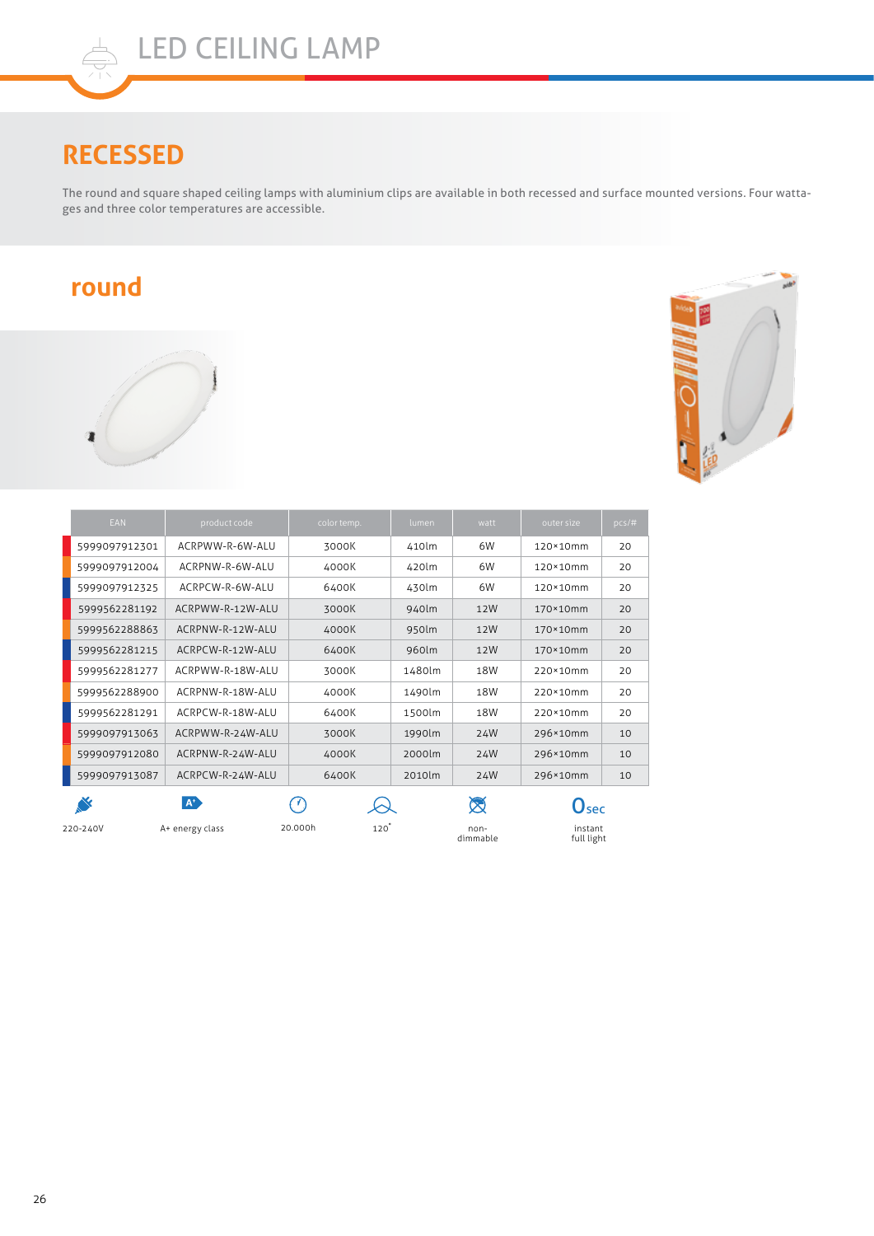## **RECESSED**

The round and square shaped ceiling lamps with aluminium clips are available in both recessed and surface mounted versions. Four wattages and three color temperatures are accessible.

## **round**





| <b>EAN</b>    | product code         | color temp.    | lumen  | watt               | outer size                | $pcs/\#$ |
|---------------|----------------------|----------------|--------|--------------------|---------------------------|----------|
| 5999097912301 | ACRPWW-R-6W-ALU      | 3000K          | 410lm  | 6W                 | 120×10mm                  | 20       |
| 5999097912004 | ACRPNW-R-6W-ALU      | 4000K          | 420lm  | 6W                 | 120×10mm                  | 20       |
| 5999097912325 | ACRPCW-R-6W-ALU      | 6400K          | 430lm  | 6W                 | 120×10mm                  | 20       |
| 5999562281192 | ACRPWW-R-12W-ALU     | 3000K          | 940lm  | 12W                | 170×10mm                  | 20       |
| 5999562288863 | ACRPNW-R-12W-ALU     | 4000K          | 950lm  | 12W                | 170×10mm                  | 20       |
| 5999562281215 | ACRPCW-R-12W-ALU     | 6400K          | 960lm  | 12W                | 170×10mm                  | 20       |
| 5999562281277 | ACRPWW-R-18W-ALU     | 3000K          | 1480lm | 18W                | 220×10mm                  | 20       |
| 5999562288900 | ACRPNW-R-18W-ALU     | 4000K          | 1490lm | 18W                | 220×10mm                  | 20       |
| 5999562281291 | ACRPCW-R-18W-ALU     | 6400K          | 1500lm | 18W                | 220×10mm                  | 20       |
| 5999097913063 | ACRPWW-R-24W-ALU     | 3000K          | 1990lm | 24W                | 296×10mm                  | 10       |
| 5999097912080 | ACRPNW-R-24W-ALU     | 4000K          | 2000lm | 24W                | 296×10mm                  | 10       |
| 5999097913087 | ACRPCW-R-24W-ALU     | 6400K          | 2010lm | 24W                | 296×10mm                  | 10       |
|               | <b>A<sup>p</sup></b> | 70             |        | ⊠                  | $\mathbf{O}_{\text{sec}}$ |          |
| 220-240V      | A+ energy class      | 120<br>20.000h |        | $non-$<br>dimmable | instant<br>full light     |          |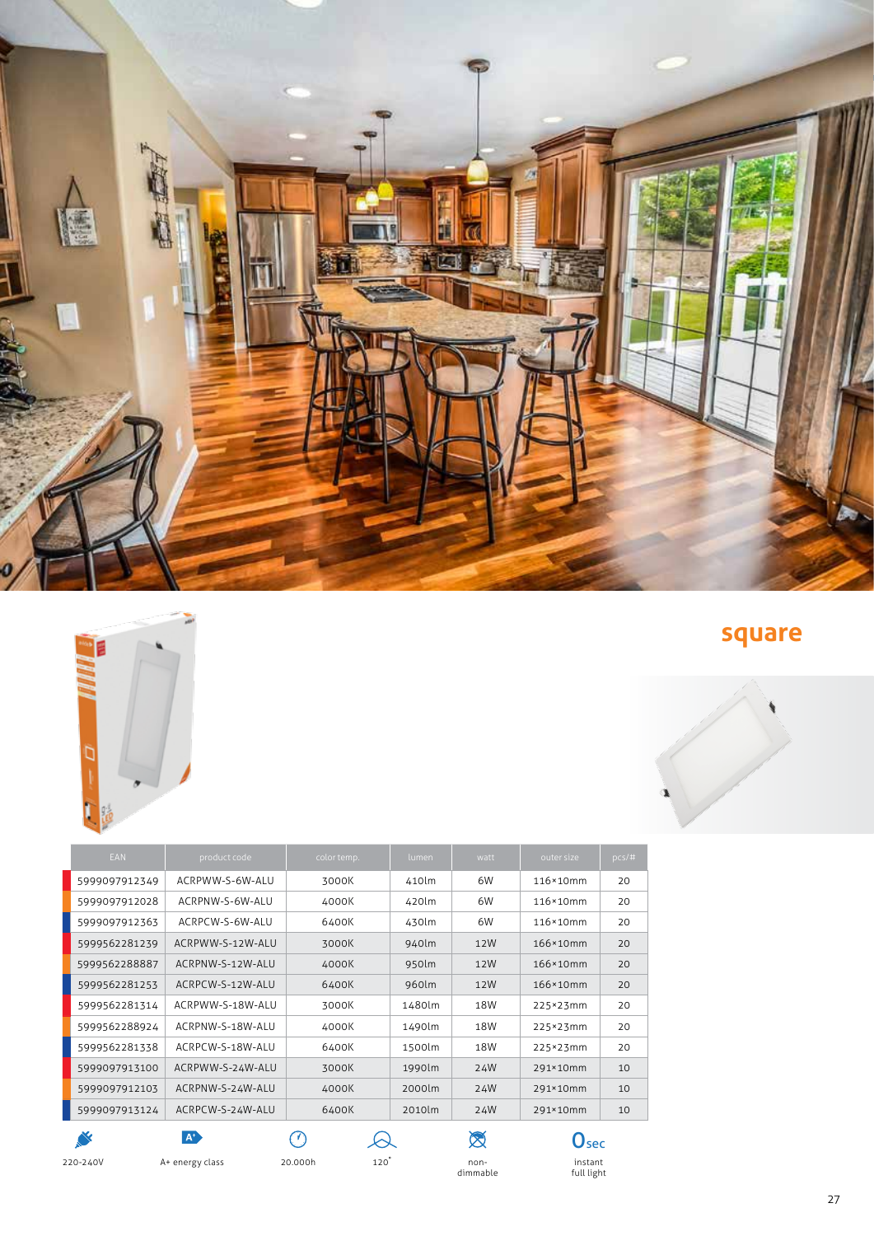| <b>EAN</b>     | product code     | color temp. | lumen  | watt         | outer size                | pcs/# |
|----------------|------------------|-------------|--------|--------------|---------------------------|-------|
| 5999097912349  | ACRPWW-S-6W-ALU  | 3000K       | 410lm  | 6W           | 116×10mm                  | 20    |
| 5999097912028  | ACRPNW-S-6W-ALU  | 4000K       | 420lm  | 6W           | 116×10mm                  | 20    |
| 5999097912363  | ACRPCW-S-6W-ALU  | 6400K       | 430lm  | 6W           | 116×10mm                  | 20    |
| 5999562281239  | ACRPWW-S-12W-ALU | 3000K       | 940lm  | 12W          | 166×10mm                  | 20    |
| 5999562288887  | ACRPNW-S-12W-ALU | 4000K       | 950lm  | 12W          | 166×10mm                  | 20    |
| 5999562281253  | ACRPCW-S-12W-ALU | 6400K       | 960lm  | 12W          | 166×10mm                  | 20    |
| 5999562281314  | ACRPWW-S-18W-ALU | 3000K       | 1480lm | 18W          | 225×23mm                  | 20    |
| 5999562288924  | ACRPNW-S-18W-ALU | 4000K       | 1490lm | 18W          | 225×23mm                  | 20    |
| 5999562281338  | ACRPCW-S-18W-ALU | 6400K       | 1500lm | 18W          | 225×23mm                  | 20    |
| 5999097913100  | ACRPWW-S-24W-ALU | 3000K       | 1990lm | 24W          | 291×10mm                  | 10    |
| 5999097912103  | ACRPNW-S-24W-ALU | 4000K       | 2000lm | 24W          | 291×10mm                  | 10    |
| 5999097913124  | ACRPCW-S-24W-ALU | 6400K       | 2010lm | 24W          | 291×10mm                  | 10    |
| <b>SERVICE</b> | $\mathbf{A}^*$   |             |        | $\bigotimes$ | $\mathbf{O}_{\text{sec}}$ |       |

non-<br>dimmable

instant full light

A+ energy class non-220-240V 20.000h 120�



**square**